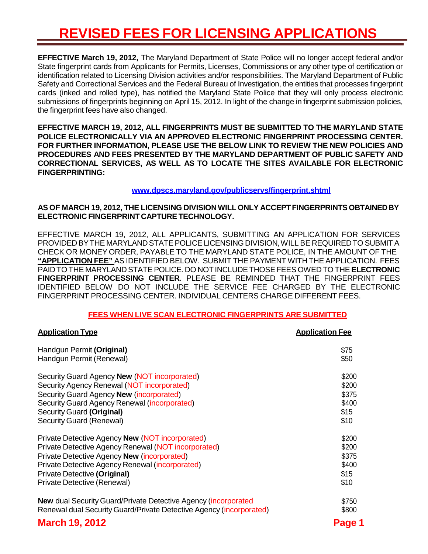## **REVISED FEES FOR LICENSING APPLICATIONS**

**EFFECTIVE March 19, 2012,** The Maryland Department of State Police will no longer accept federal and/or State fingerprint cards from Applicants for Permits, Licenses, Commissions or any other type of certification or identification related to Licensing Division activities and/or responsibilities. The Maryland Department of Public Safety and Correctional Services and the Federal Bureau of Investigation, the entities that processes fingerprint cards (inked and rolled type), has notified the Maryland State Police that they will only process electronic submissions of fingerprints beginning on April 15, 2012. In light of the change in fingerprint submission policies, the fingerprint fees have also changed.

**EFFECTIVE MARCH 19, 2012, ALL FINGERPRINTS MUST BE SUBMITTED TO THE MARYLAND STATE POLICE ELECTRONICALLY VIA AN APPROVED ELECTRONIC FINGERPRINT PROCESSING CENTER. FOR FURTHER INFORMATION, PLEASE USE THE BELOW LINK TO REVIEW THE NEW POLICIES AND PROCEDURES AND FEES PRESENTED BY THE MARYLAND DEPARTMENT OF PUBLIC SAFETY AND CORRECTIONAL SERVICES, AS WELL AS TO LOCATE THE SITES AVAILABLE FOR ELECTRONIC FINGERPRINTING:**

### **[www.dpscs.maryland.gov/publicservs/fingerprint.shtml](http://www.dpscs.maryland.gov/publicservs/fingerprint.shtml)**

### **AS OF MARCH 19, 2012, THE LICENSING DIVISIONWILLONLY ACCEPTFINGERPRINTS OBTAINEDBY ELECTRONIC FINGERPRINT CAPTURE TECHNOLOGY.**

EFFECTIVE MARCH 19, 2012, ALL APPLICANTS, SUBMITTING AN APPLICATION FOR SERVICES PROVIDED BY THE MARYLAND STATE POLICE LICENSING DIVISION, WILL BE REQUIRED TO SUBMIT A CHECK OR MONEY ORDER, PAYABLE TO THE MARYLAND STATE POLICE, IN THE AMOUNT OF THE **"APPLICATION FEE"** AS IDENTIFIED BELOW. SUBMIT THE PAYMENT WITH THE APPLICATION. FEES PAIDTO THE MARYLAND STATE POLICE. DO NOTINCLUDETHOSEFEES OWED TO THE **ELECTRONIC FINGERPRINT PROCESSING CENTER**. PLEASE BE REMINDED THAT THE FINGERPRINT FEES IDENTIFIED BELOW DO NOT INCLUDE THE SERVICE FEE CHARGED BY THE ELECTRONIC FINGERPRINT PROCESSING CENTER. INDIVIDUAL CENTERS CHARGE DIFFERENT FEES.

### **FEES WHEN LIVE SCAN ELECTRONIC FINGERPRINTS ARE SUBMITTED**

| <b>Application Type</b>                                               | <b>Application Fee</b> |  |
|-----------------------------------------------------------------------|------------------------|--|
| Handgun Permit (Original)                                             | \$75                   |  |
| Handgun Permit (Renewal)                                              | \$50                   |  |
| Security Guard Agency New (NOT incorporated)                          | \$200                  |  |
| Security Agency Renewal (NOT incorporated)                            | \$200                  |  |
| Security Guard Agency New (incorporated)                              | \$375                  |  |
| Security Guard Agency Renewal (incorporated)                          | \$400                  |  |
| Security Guard (Original)                                             | \$15                   |  |
| Security Guard (Renewal)                                              | \$10                   |  |
| Private Detective Agency <b>New</b> (NOT incorporated)                | \$200                  |  |
| Private Detective Agency Renewal (NOT incorporated)                   | \$200                  |  |
| Private Detective Agency New (incorporated)                           | \$375                  |  |
| Private Detective Agency Renewal (incorporated)                       | \$400                  |  |
| Private Detective (Original)                                          | \$15                   |  |
| Private Detective (Renewal)                                           | \$10                   |  |
| <b>New</b> dual Security Guard/Private Detective Agency (incorporated | \$750                  |  |
| Renewal dual Security Guard/Private Detective Agency (incorporated)   | \$800                  |  |
| <b>March 19, 2012</b>                                                 | Page 1                 |  |
|                                                                       |                        |  |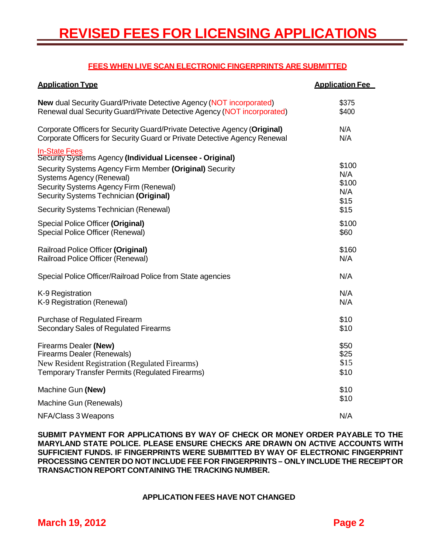## **FEES WHEN LIVE SCAN ELECTRONIC FINGERPRINTS ARE SUBMITTED**

| <b>Application Type</b>                                                                                                                                                                                                                                            | <b>Application Fee</b>               |
|--------------------------------------------------------------------------------------------------------------------------------------------------------------------------------------------------------------------------------------------------------------------|--------------------------------------|
| <b>New dual Security Guard/Private Detective Agency (NOT incorporated)</b>                                                                                                                                                                                         | \$375                                |
| Renewal dual Security Guard/Private Detective Agency (NOT incorporated)                                                                                                                                                                                            | \$400                                |
| Corporate Officers for Security Guard/Private Detective Agency (Original)                                                                                                                                                                                          | N/A                                  |
| Corporate Officers for Security Guard or Private Detective Agency Renewal                                                                                                                                                                                          | N/A                                  |
| <b>In-State Fees</b><br>Security Systems Agency (Individual Licensee - Original)<br>Security Systems Agency Firm Member (Original) Security<br><b>Systems Agency (Renewal)</b><br>Security Systems Agency Firm (Renewal)<br>Security Systems Technician (Original) | \$100<br>N/A<br>\$100<br>N/A<br>\$15 |
| Security Systems Technician (Renewal)                                                                                                                                                                                                                              | \$15                                 |
| Special Police Officer (Original)                                                                                                                                                                                                                                  | \$100                                |
| Special Police Officer (Renewal)                                                                                                                                                                                                                                   | \$60                                 |
| Railroad Police Officer (Original)                                                                                                                                                                                                                                 | \$160                                |
| Railroad Police Officer (Renewal)                                                                                                                                                                                                                                  | N/A                                  |
| Special Police Officer/Railroad Police from State agencies                                                                                                                                                                                                         | N/A                                  |
| K-9 Registration                                                                                                                                                                                                                                                   | N/A                                  |
| K-9 Registration (Renewal)                                                                                                                                                                                                                                         | N/A                                  |
| Purchase of Regulated Firearm                                                                                                                                                                                                                                      | \$10                                 |
| Secondary Sales of Regulated Firearms                                                                                                                                                                                                                              | \$10                                 |
| Firearms Dealer (New)                                                                                                                                                                                                                                              | \$50                                 |
| Firearms Dealer (Renewals)                                                                                                                                                                                                                                         | \$25                                 |
| New Resident Registration (Regulated Firearms)                                                                                                                                                                                                                     | \$15                                 |
| <b>Temporary Transfer Permits (Regulated Firearms)</b>                                                                                                                                                                                                             | \$10                                 |
| Machine Gun (New)                                                                                                                                                                                                                                                  | \$10                                 |
| Machine Gun (Renewals)                                                                                                                                                                                                                                             | \$10                                 |
| NFA/Class 3 Weapons                                                                                                                                                                                                                                                | N/A                                  |

**SUBMIT PAYMENT FOR APPLICATIONS BY WAY OF CHECK OR MONEY ORDER PAYABLE TO THE MARYLAND STATE POLICE. PLEASE ENSURE CHECKS ARE DRAWN ON ACTIVE ACCOUNTS WITH SUFFICIENT FUNDS. IF FINGERPRINTS WERE SUBMITTED BY WAY OF ELECTRONIC FINGERPRINT PROCESSING CENTER DO NOT INCLUDE FEE FOR FINGERPRINTS – ONLY INCLUDE THE RECEIPTOR TRANSACTION REPORT CONTAINING THE TRACKING NUMBER.**

#### **APPLICATION FEES HAVE NOT CHANGED**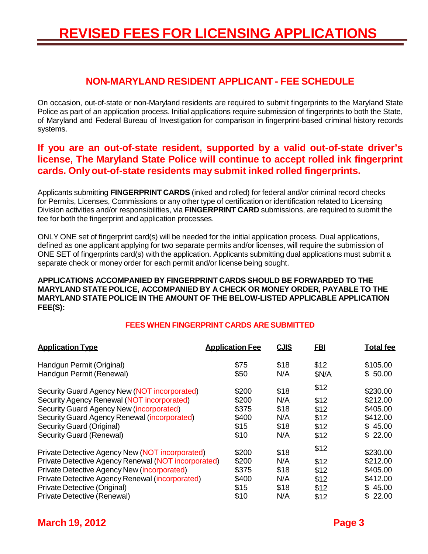# **REVISED FEES FOR LICENSING APPLICATIONS**

## **NON-MARYLAND RESIDENT APPLICANT - FEE SCHEDULE**

On occasion, out-of-state or non-Maryland residents are required to submit fingerprints to the Maryland State Police as part of an application process. Initial applications require submission of fingerprints to both the State, of Maryland and Federal Bureau of Investigation for comparison in fingerprint-based criminal history records systems.

## **If you are an out-of-state resident, supported by a valid out-of-state driver's license, The Maryland State Police will continue to accept rolled ink fingerprint cards. Onlyout-of-state residents may submit inked rolled fingerprints.**

Applicants submitting **FINGERPRINT CARDS** (inked and rolled) for federal and/or criminal record checks for Permits, Licenses, Commissions or any other type of certification or identification related to Licensing Division activities and/or responsibilities, via **FINGERPRINT CARD** submissions, are required to submit the fee for both the fingerprint and application processes.

ONLY ONE set of fingerprint card(s) will be needed for the initial application process. Dual applications, defined as one applicant applying for two separate permits and/or licenses, will require the submission of ONE SET of fingerprints card(s) with the application. Applicants submitting dual applications must submit a separate check or money order for each permit and/or license being sought.

#### **APPLICATIONS ACCOMPANIED BY FINGERPRINT CARDS SHOULD BE FORWARDED TO THE MARYLAND STATE POLICE, ACCOMPANIED BY A CHECK OR MONEY ORDER, PAYABLE TO THE MARYLAND STATE POLICE IN THE AMOUNT OF THE BELOW-LISTED APPLICABLE APPLICATION FEE(S):**

### **FEES WHEN FINGERPRINT CARDS ARE SUBMITTED**

| <b>Application Type</b>                             | <b>Application Fee</b> | <u>CJIS</u> | <u>FBI</u> | <b>Total fee</b> |
|-----------------------------------------------------|------------------------|-------------|------------|------------------|
| Handgun Permit (Original)                           | \$75                   | \$18        | \$12       | \$105.00         |
| Handgun Permit (Renewal)                            | \$50                   | N/A         | \$N/A      | \$50.00          |
| Security Guard Agency New (NOT incorporated)        | \$200                  | \$18        | \$12       | \$230.00         |
| Security Agency Renewal (NOT incorporated)          | \$200                  | N/A         | \$12       | \$212.00         |
| Security Guard Agency New (incorporated)            | \$375                  | \$18        | \$12       | \$405.00         |
| <b>Security Guard Agency Renewal (incorporated)</b> | \$400                  | N/A         | \$12       | \$412.00         |
| Security Guard (Original)                           | \$15                   | \$18        | \$12       | \$45.00          |
| Security Guard (Renewal)                            | \$10                   | N/A         | \$12       | \$22.00          |
| Private Detective Agency New (NOT incorporated)     | \$200                  | \$18        | \$12       | \$230.00         |
| Private Detective Agency Renewal (NOT incorporated) | \$200                  | N/A         | \$12       | \$212.00         |
| Private Detective Agency New (incorporated)         | \$375                  | \$18        | \$12       | \$405.00         |
| Private Detective Agency Renewal (incorporated)     | \$400                  | N/A         | \$12       | \$412.00         |
| Private Detective (Original)                        | \$15                   | \$18        | \$12       | \$45.00          |
| Private Detective (Renewal)                         | \$10                   | N/A         | \$12       | \$22.00          |

## **March 19, 2012 Page 3**